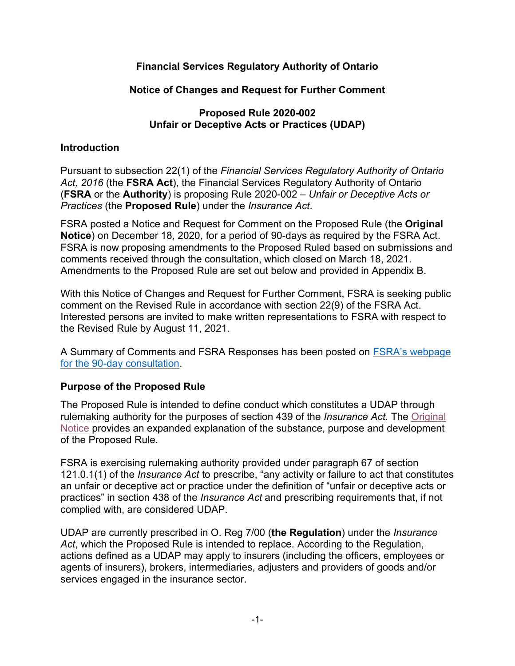# **Financial Services Regulatory Authority of Ontario**

# **Notice of Changes and Request for Further Comment**

# **Proposed Rule 2020-002 Unfair or Deceptive Acts or Practices (UDAP)**

# **Introduction**

Pursuant to subsection 22(1) of the *Financial Services Regulatory Authority of Ontario Act, 2016* (the **FSRA Act**), the Financial Services Regulatory Authority of Ontario (**FSRA** or the **Authority**) is proposing Rule 2020-002 – *Unfair or Deceptive Acts or Practices* (the **Proposed Rule**) under the *Insurance Act*.

FSRA posted a Notice and Request for Comment on the Proposed Rule (the **Original Notice**) on December 18, 2020, for a period of 90-days as required by the FSRA Act. FSRA is now proposing amendments to the Proposed Ruled based on submissions and comments received through the consultation, which closed on March 18, 2021. Amendments to the Proposed Rule are set out below and provided in Appendix B.

With this Notice of Changes and Request for Further Comment, FSRA is seeking public comment on the Revised Rule in accordance with section 22(9) of the FSRA Act. Interested persons are invited to make written representations to FSRA with respect to the Revised Rule by August 11, 2021.

A Summary of Comments and FSRA Responses has been posted on [FSRA's webpage](https://www.fsrao.ca/engagement-and-consultations/fsras-releases-its-revised-proposed-unfair-or-deceptive-acts-or-practices-udap-rule-public-consultation)  [for the 90-day consultation.](https://www.fsrao.ca/engagement-and-consultations/fsras-releases-its-revised-proposed-unfair-or-deceptive-acts-or-practices-udap-rule-public-consultation)

# **Purpose of the Proposed Rule**

The Proposed Rule is intended to define conduct which constitutes a UDAP through rulemaking authority for the purposes of section 439 of the *Insurance Act.* The [Original](https://www.fsrao.ca/media/2521/download)  [Notice](https://www.fsrao.ca/media/2521/download) provides an expanded explanation of the substance, purpose and development of the Proposed Rule.

FSRA is exercising rulemaking authority provided under paragraph 67 of section 121.0.1(1) of the *Insurance Act* to prescribe, "any activity or failure to act that constitutes an unfair or deceptive act or practice under the definition of "unfair or deceptive acts or practices" in section 438 of the *Insurance Act* and prescribing requirements that, if not complied with, are considered UDAP.

UDAP are currently prescribed in O. Reg 7/00 (**the Regulation**) under the *Insurance Act*, which the Proposed Rule is intended to replace*.* According to the Regulation, actions defined as a UDAP may apply to insurers (including the officers, employees or agents of insurers), brokers, intermediaries, adjusters and providers of goods and/or services engaged in the insurance sector.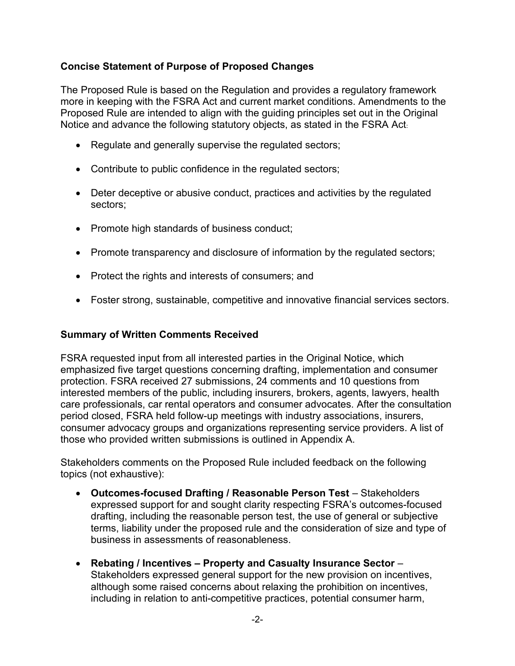# **Concise Statement of Purpose of Proposed Changes**

The Proposed Rule is based on the Regulation and provides a regulatory framework more in keeping with the FSRA Act and current market conditions. Amendments to the Proposed Rule are intended to align with the guiding principles set out in the Original Notice and advance the following statutory objects, as stated in the FSRA Act:

- Regulate and generally supervise the regulated sectors;
- Contribute to public confidence in the regulated sectors;
- Deter deceptive or abusive conduct, practices and activities by the regulated sectors;
- Promote high standards of business conduct;
- Promote transparency and disclosure of information by the regulated sectors;
- Protect the rights and interests of consumers; and
- Foster strong, sustainable, competitive and innovative financial services sectors.

# **Summary of Written Comments Received**

FSRA requested input from all interested parties in the Original Notice, which emphasized five target questions concerning drafting, implementation and consumer protection. FSRA received 27 submissions, 24 comments and 10 questions from interested members of the public, including insurers, brokers, agents, lawyers, health care professionals, car rental operators and consumer advocates. After the consultation period closed, FSRA held follow-up meetings with industry associations, insurers, consumer advocacy groups and organizations representing service providers. A list of those who provided written submissions is outlined in Appendix A.

Stakeholders comments on the Proposed Rule included feedback on the following topics (not exhaustive):

- **Outcomes-focused Drafting / Reasonable Person Test** Stakeholders expressed support for and sought clarity respecting FSRA's outcomes-focused drafting, including the reasonable person test, the use of general or subjective terms, liability under the proposed rule and the consideration of size and type of business in assessments of reasonableness.
- **Rebating / Incentives – Property and Casualty Insurance Sector** Stakeholders expressed general support for the new provision on incentives, although some raised concerns about relaxing the prohibition on incentives, including in relation to anti-competitive practices, potential consumer harm,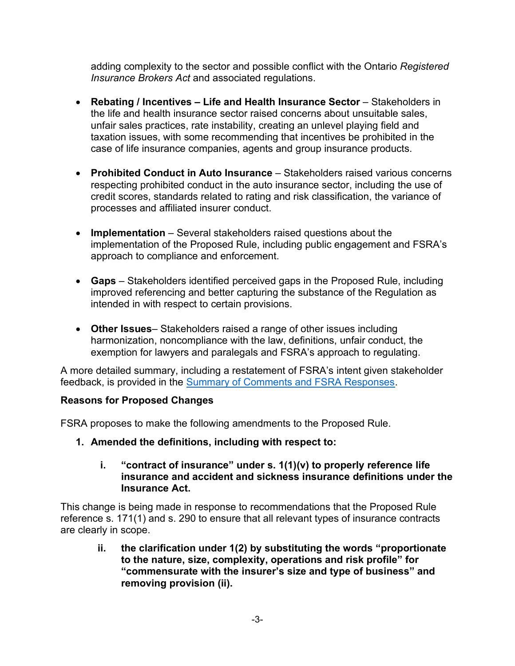adding complexity to the sector and possible conflict with the Ontario *Registered Insurance Brokers Act* and associated regulations.

- **Rebating / Incentives – Life and Health Insurance Sector** Stakeholders in the life and health insurance sector raised concerns about unsuitable sales, unfair sales practices, rate instability, creating an unlevel playing field and taxation issues, with some recommending that incentives be prohibited in the case of life insurance companies, agents and group insurance products.
- **Prohibited Conduct in Auto Insurance** Stakeholders raised various concerns respecting prohibited conduct in the auto insurance sector, including the use of credit scores, standards related to rating and risk classification, the variance of processes and affiliated insurer conduct.
- **Implementation** Several stakeholders raised questions about the implementation of the Proposed Rule, including public engagement and FSRA's approach to compliance and enforcement.
- **Gaps** Stakeholders identified perceived gaps in the Proposed Rule, including improved referencing and better capturing the substance of the Regulation as intended in with respect to certain provisions.
- **Other Issues** Stakeholders raised a range of other issues including harmonization, noncompliance with the law, definitions, unfair conduct, the exemption for lawyers and paralegals and FSRA's approach to regulating.

A more detailed summary, including a restatement of FSRA's intent given stakeholder feedback, is provided in the [Summary of Comments and FSRA Responses](https://www.fsrao.ca/engagement-and-consultations/fsras-first-proposed-insurance-rule-released-public-consultation-unfair-or-deceptive-acts-or-practices-udap-rule/summary-comments).

# **Reasons for Proposed Changes**

FSRA proposes to make the following amendments to the Proposed Rule.

- **1. Amended the definitions, including with respect to:** 
	- **i. "contract of insurance" under s. 1(1)(v) to properly reference life insurance and accident and sickness insurance definitions under the Insurance Act.**

This change is being made in response to recommendations that the Proposed Rule reference s. 171(1) and s. 290 to ensure that all relevant types of insurance contracts are clearly in scope.

**ii. the clarification under 1(2) by substituting the words "proportionate to the nature, size, complexity, operations and risk profile" for "commensurate with the insurer's size and type of business" and removing provision (ii).**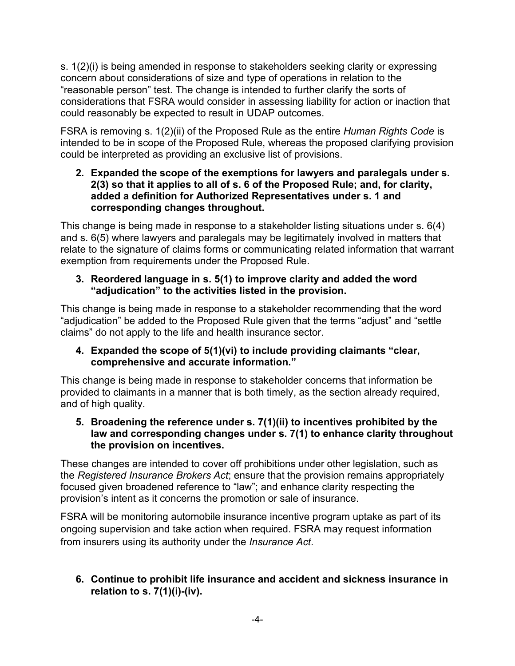s. 1(2)(i) is being amended in response to stakeholders seeking clarity or expressing concern about considerations of size and type of operations in relation to the "reasonable person" test. The change is intended to further clarify the sorts of considerations that FSRA would consider in assessing liability for action or inaction that could reasonably be expected to result in UDAP outcomes.

FSRA is removing s. 1(2)(ii) of the Proposed Rule as the entire *Human Rights Code* is intended to be in scope of the Proposed Rule, whereas the proposed clarifying provision could be interpreted as providing an exclusive list of provisions.

# **2. Expanded the scope of the exemptions for lawyers and paralegals under s. 2(3) so that it applies to all of s. 6 of the Proposed Rule; and, for clarity, added a definition for Authorized Representatives under s. 1 and corresponding changes throughout.**

This change is being made in response to a stakeholder listing situations under s. 6(4) and s. 6(5) where lawyers and paralegals may be legitimately involved in matters that relate to the signature of claims forms or communicating related information that warrant exemption from requirements under the Proposed Rule.

# **3. Reordered language in s. 5(1) to improve clarity and added the word "adjudication" to the activities listed in the provision.**

This change is being made in response to a stakeholder recommending that the word "adjudication" be added to the Proposed Rule given that the terms "adjust" and "settle claims" do not apply to the life and health insurance sector.

# **4. Expanded the scope of 5(1)(vi) to include providing claimants "clear, comprehensive and accurate information."**

This change is being made in response to stakeholder concerns that information be provided to claimants in a manner that is both timely, as the section already required, and of high quality.

# **5. Broadening the reference under s. 7(1)(ii) to incentives prohibited by the law and corresponding changes under s. 7(1) to enhance clarity throughout the provision on incentives.**

These changes are intended to cover off prohibitions under other legislation, such as the *Registered Insurance Brokers Act*; ensure that the provision remains appropriately focused given broadened reference to "law"; and enhance clarity respecting the provision's intent as it concerns the promotion or sale of insurance.

FSRA will be monitoring automobile insurance incentive program uptake as part of its ongoing supervision and take action when required. FSRA may request information from insurers using its authority under the *Insurance Act*.

# **6. Continue to prohibit life insurance and accident and sickness insurance in relation to s. 7(1)(i)-(iv).**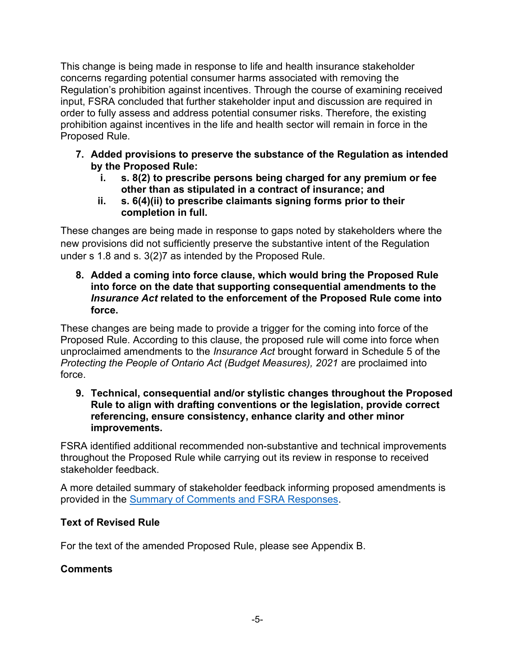This change is being made in response to life and health insurance stakeholder concerns regarding potential consumer harms associated with removing the Regulation's prohibition against incentives. Through the course of examining received input, FSRA concluded that further stakeholder input and discussion are required in order to fully assess and address potential consumer risks. Therefore, the existing prohibition against incentives in the life and health sector will remain in force in the Proposed Rule.

- **7. Added provisions to preserve the substance of the Regulation as intended by the Proposed Rule:** 
	- **i. s. 8(2) to prescribe persons being charged for any premium or fee other than as stipulated in a contract of insurance; and**
	- **ii. s. 6(4)(ii) to prescribe claimants signing forms prior to their completion in full.**

These changes are being made in response to gaps noted by stakeholders where the new provisions did not sufficiently preserve the substantive intent of the Regulation under s 1.8 and s. 3(2)7 as intended by the Proposed Rule.

**8. Added a coming into force clause, which would bring the Proposed Rule into force on the date that supporting consequential amendments to the**  *Insurance Act* **related to the enforcement of the Proposed Rule come into force.** 

These changes are being made to provide a trigger for the coming into force of the Proposed Rule. According to this clause, the proposed rule will come into force when unproclaimed amendments to the *Insurance Act* brought forward in Schedule 5 of the *Protecting the People of Ontario Act (Budget Measures), 2021 are proclaimed into* force.

**9. Technical, consequential and/or stylistic changes throughout the Proposed Rule to align with drafting conventions or the legislation, provide correct referencing, ensure consistency, enhance clarity and other minor improvements.** 

FSRA identified additional recommended non-substantive and technical improvements throughout the Proposed Rule while carrying out its review in response to received stakeholder feedback.

A more detailed summary of stakeholder feedback informing proposed amendments is provided in the [Summary of Comments and FSRA Responses](https://www.fsrao.ca/engagement-and-consultations/fsras-first-proposed-insurance-rule-released-public-consultation-unfair-or-deceptive-acts-or-practices-udap-rule/summary-comments).

# **Text of Revised Rule**

For the text of the amended Proposed Rule, please see Appendix B.

# **Comments**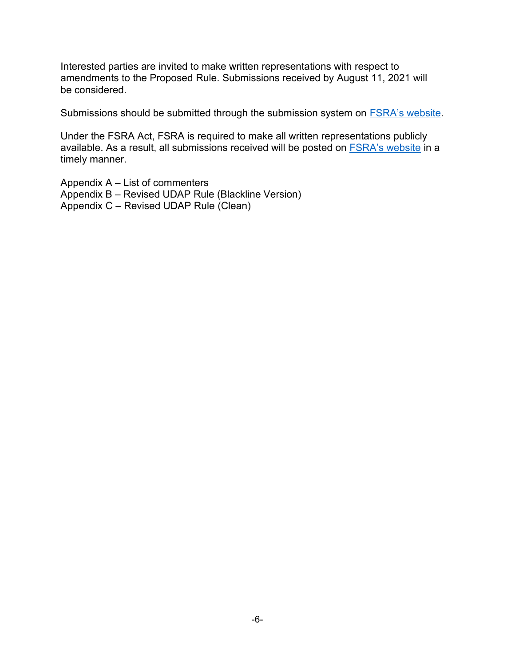Interested parties are invited to make written representations with respect to amendments to the Proposed Rule. Submissions received by August 11, 2021 will be considered.

Submissions should be submitted through the submission system on **[FSRA's website](https://www.fsrao.ca/engagement-and-consultations/fsras-releases-its-revised-proposed-unfair-or-deceptive-acts-or-practices-udap-rule-public-consultation#comment)**.

Under the FSRA Act, FSRA is required to make all written representations publicly available. As a result, all submissions received will be posted on [FSRA's website](https://www.fsrao.ca/engagement-and-consultations/fsras-releases-its-revised-proposed-unfair-or-deceptive-acts-or-practices-udap-rule-public-consultation#comment) in a timely manner.

Appendix A – List of commenters Appendix B – Revised UDAP Rule (Blackline Version) Appendix C – Revised UDAP Rule (Clean)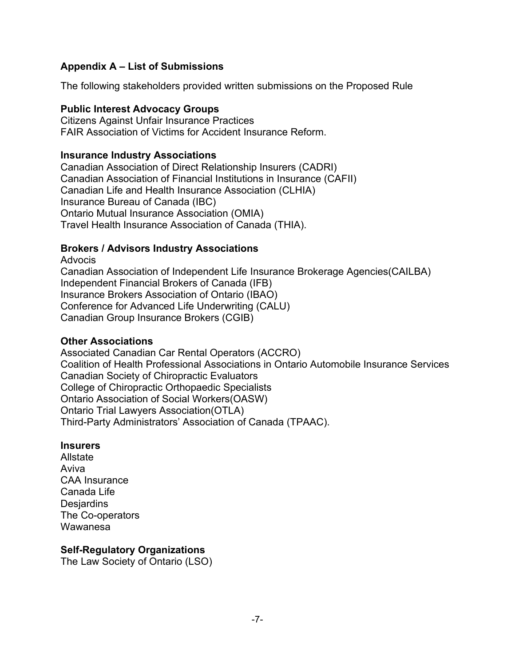# **Appendix A – List of Submissions**

The following stakeholders provided written submissions on the Proposed Rule

## **Public Interest Advocacy Groups**

Citizens Against Unfair Insurance Practices FAIR Association of Victims for Accident Insurance Reform.

## **Insurance Industry Associations**

Canadian Association of Direct Relationship Insurers (CADRI) Canadian Association of Financial Institutions in Insurance (CAFII) Canadian Life and Health Insurance Association (CLHIA) Insurance Bureau of Canada (IBC) Ontario Mutual Insurance Association (OMIA) Travel Health Insurance Association of Canada (THIA).

# **Brokers / Advisors Industry Associations**

Advocis Canadian Association of Independent Life Insurance Brokerage Agencies(CAILBA) Independent Financial Brokers of Canada (IFB) Insurance Brokers Association of Ontario (IBAO) Conference for Advanced Life Underwriting (CALU) Canadian Group Insurance Brokers (CGIB)

## **Other Associations**

Associated Canadian Car Rental Operators (ACCRO) Coalition of Health Professional Associations in Ontario Automobile Insurance Services Canadian Society of Chiropractic Evaluators College of Chiropractic Orthopaedic Specialists Ontario Association of Social Workers(OASW) Ontario Trial Lawyers Association(OTLA) Third-Party Administrators' Association of Canada (TPAAC).

# **Insurers**

Allstate Aviva CAA Insurance Canada Life **Desjardins** The Co-operators Wawanesa

# **Self-Regulatory Organizations**

The Law Society of Ontario (LSO)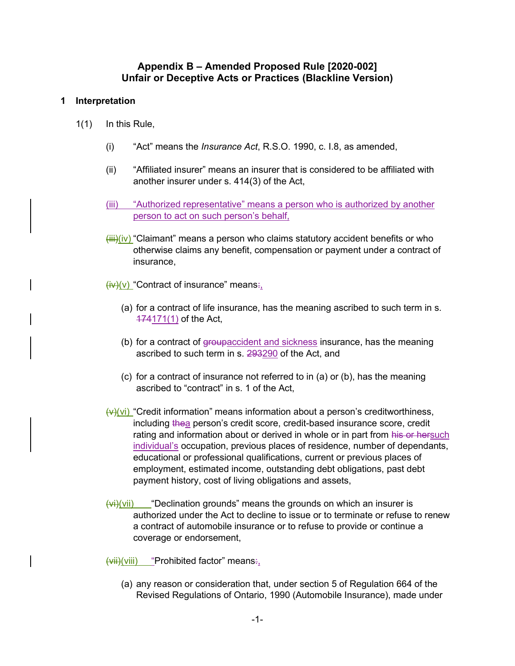## **Appendix B – Amended Proposed Rule [2020-002] Unfair or Deceptive Acts or Practices (Blackline Version)**

#### **1 Interpretation**

- 1(1) In this Rule,
	- (i) "Act" means the *Insurance Act*, R.S.O. 1990, c. I.8, as amended,
	- (ii) "Affiliated insurer" means an insurer that is considered to be affiliated with another insurer under s. 414(3) of the Act,
	- (iii) "Authorized representative" means a person who is authorized by another person to act on such person's behalf,
	- $\overline{\text{iii}}$ )(iv) "Claimant" means a person who claims statutory accident benefits or who otherwise claims any benefit, compensation or payment under a contract of insurance,
	- $\overline{(iv)}$ (v) "Contract of insurance" means:
		- (a) for a contract of life insurance, has the meaning ascribed to such term in s. 174171(1) of the Act,
		- (b) for a contract of groupaccident and sickness insurance, has the meaning ascribed to such term in s. 293290 of the Act, and
		- (c) for a contract of insurance not referred to in (a) or (b), has the meaning ascribed to "contract" in s. 1 of the Act,
	- $(v)$ (vi) "Credit information" means information about a person's creditworthiness, including thea person's credit score, credit-based insurance score, credit rating and information about or derived in whole or in part from his or hersuch individual's occupation, previous places of residence, number of dependants, educational or professional qualifications, current or previous places of employment, estimated income, outstanding debt obligations, past debt payment history, cost of living obligations and assets,
	- $\overline{\langle\psi\rangle\langle\psi\rangle\langle\psi\rangle\langle\psi\rangle\langle\psi\rangle\langle\psi\rangle\langle\psi\rangle\langle\psi\rangle\langle\psi\rangle\langle\psi\rangle\langle\psi\rangle\langle\psi\rangle\langle\psi\rangle\langle\psi\rangle\langle\psi\rangle\langle\psi\rangle\langle\psi\rangle\langle\psi\rangle\langle\psi\rangle\langle\psi\rangle\langle\psi\rangle\langle\psi\rangle\langle\psi\rangle\langle\psi\rangle\langle\psi\rangle\langle\psi\rangle\langle\psi\rangle\langle\psi\rangle\langle\psi\rangle\langle\psi\rangle\langle\psi\rangle\langle\psi\rangle\langle\psi\rangle\langle\psi\rangle\langle\psi\rangle\langle\psi\rangle\$ authorized under the Act to decline to issue or to terminate or refuse to renew a contract of automobile insurance or to refuse to provide or continue a coverage or endorsement,

 $\overline{(vii)(viii)}$  "Prohibited factor" means:,

(a) any reason or consideration that, under section 5 of Regulation 664 of the Revised Regulations of Ontario, 1990 (Automobile Insurance), made under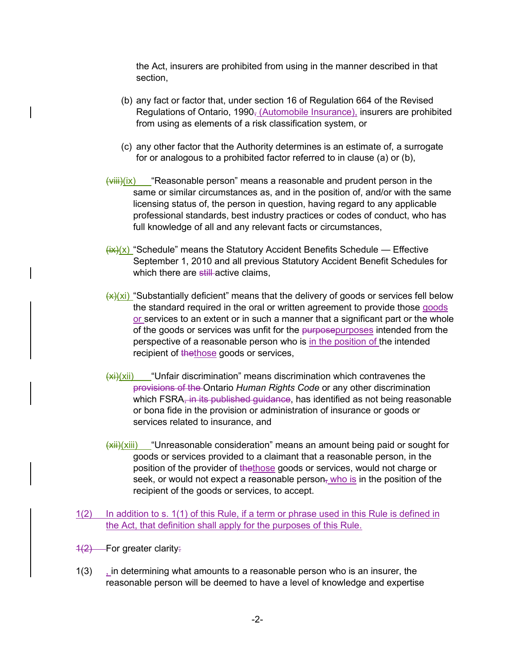the Act, insurers are prohibited from using in the manner described in that section,

- (b) any fact or factor that, under section 16 of Regulation 664 of the Revised Regulations of Ontario, 1990 $<sub>7</sub>$  (Automobile Insurance), insurers are prohibited</sub> from using as elements of a risk classification system, or
- (c) any other factor that the Authority determines is an estimate of, a surrogate for or analogous to a prohibited factor referred to in clause (a) or (b),
- $\frac{f\{V\}\{V\}}{V}$  "Reasonable person" means a reasonable and prudent person in the same or similar circumstances as, and in the position of, and/or with the same licensing status of, the person in question, having regard to any applicable professional standards, best industry practices or codes of conduct, who has full knowledge of all and any relevant facts or circumstances,
- $\frac{f(x)(x)}{x}$  "Schedule" means the Statutory Accident Benefits Schedule Effective September 1, 2010 and all previous Statutory Accident Benefit Schedules for which there are still active claims,
- $(x)$ (xi) "Substantially deficient" means that the delivery of goods or services fell below the standard required in the oral or written agreement to provide those goods or services to an extent or in such a manner that a significant part or the whole of the goods or services was unfit for the purposepurposes intended from the perspective of a reasonable person who is in the position of the intended recipient of thethose goods or services,
- $(xii)(xii)$  "Unfair discrimination" means discrimination which contravenes the provisions of the Ontario *Human Rights Code* or any other discrimination which FSRA, in its published guidance, has identified as not being reasonable or bona fide in the provision or administration of insurance or goods or services related to insurance, and
- $\frac{f(x)}{h(x)}$  "Unreasonable consideration" means an amount being paid or sought for goods or services provided to a claimant that a reasonable person, in the position of the provider of thethose goods or services, would not charge or seek, or would not expect a reasonable person<sub> $\bar{x}$ </sub> who is in the position of the recipient of the goods or services, to accept.
- 1(2) In addition to s. 1(1) of this Rule, if a term or phrase used in this Rule is defined in the Act, that definition shall apply for the purposes of this Rule.
- $1(2)$  For greater clarity.
- $1(3)$  *in determining what amounts to a reasonable person who is an insurer, the* reasonable person will be deemed to have a level of knowledge and expertise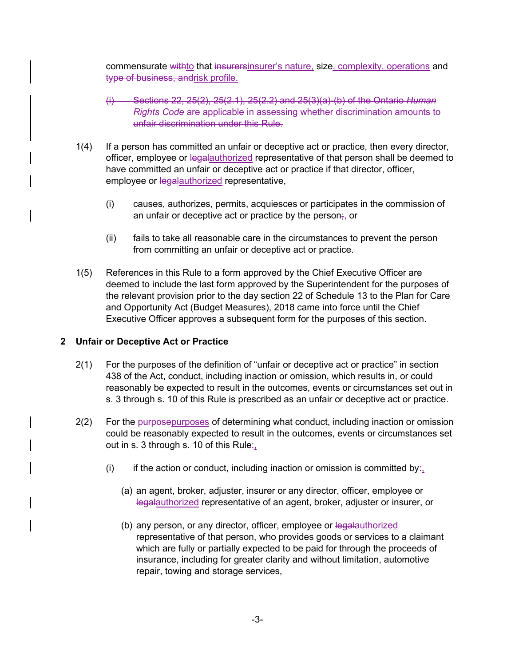commensurate withto that insurersinsurer's nature, size, complexity, operations and type of business, andrisk profile.

- (i) Sections 22, 25(2), 25(2.1), 25(2.2) and 25(3)(a)-(b) of the Ontario *Human Rights Code* are applicable in assessing whether discrimination amounts to unfair discrimination under this Rule.
- 1(4) If a person has committed an unfair or deceptive act or practice, then every director, officer, employee or legalauthorized representative of that person shall be deemed to have committed an unfair or deceptive act or practice if that director, officer, employee or legalauthorized representative,
	- (i) causes, authorizes, permits, acquiesces or participates in the commission of an unfair or deceptive act or practice by the person $\frac{1}{r_1}$  or
	- (ii) fails to take all reasonable care in the circumstances to prevent the person from committing an unfair or deceptive act or practice.
- 1(5) References in this Rule to a form approved by the Chief Executive Officer are deemed to include the last form approved by the Superintendent for the purposes of the relevant provision prior to the day section 22 of Schedule 13 to the Plan for Care and Opportunity Act (Budget Measures), 2018 came into force until the Chief Executive Officer approves a subsequent form for the purposes of this section.

## **2 Unfair or Deceptive Act or Practice**

- 2(1) For the purposes of the definition of "unfair or deceptive act or practice" in section 438 of the Act, conduct, including inaction or omission, which results in, or could reasonably be expected to result in the outcomes, events or circumstances set out in s. 3 through s. 10 of this Rule is prescribed as an unfair or deceptive act or practice.
- 2(2) For the purposepurposes of determining what conduct, including inaction or omission could be reasonably expected to result in the outcomes, events or circumstances set out in s. 3 through s. 10 of this Rule $\div$ ,
	- (i) if the action or conduct, including inaction or omission is committed by:
		- (a) an agent, broker, adjuster, insurer or any director, officer, employee or legalauthorized representative of an agent, broker, adjuster or insurer, or
		- (b) any person, or any director, officer, employee or legalauthorized representative of that person, who provides goods or services to a claimant which are fully or partially expected to be paid for through the proceeds of insurance, including for greater clarity and without limitation, automotive repair, towing and storage services,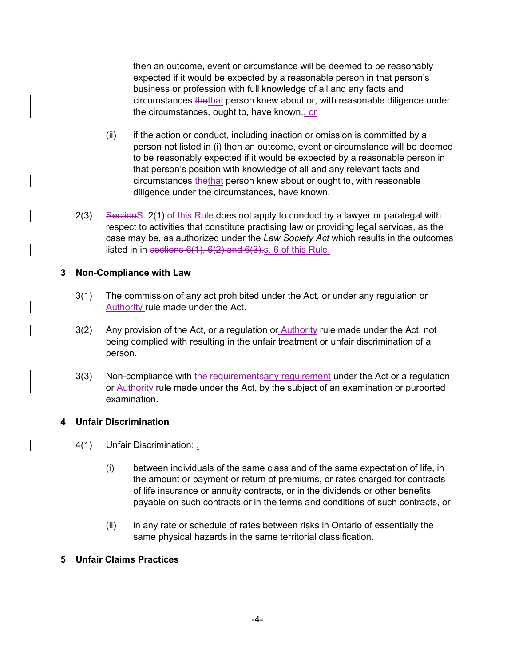then an outcome, event or circumstance will be deemed to be reasonably expected if it would be expected by a reasonable person in that person's business or profession with full knowledge of all and any facts and circumstances thethat person knew about or, with reasonable diligence under the circumstances, ought to, have known<del>.</del><u>, or</u>

- (ii) if the action or conduct, including inaction or omission is committed by a person not listed in (i) then an outcome, event or circumstance will be deemed to be reasonably expected if it would be expected by a reasonable person in that person's position with knowledge of all and any relevant facts and circumstances thethat person knew about or ought to, with reasonable diligence under the circumstances, have known.
- listed in in <del>sections 6(1), 6(2) and 6(3).</del>s. 6 of this Rule. 2(3) Section S. 2(1) of this Rule does not apply to conduct by a lawyer or paralegal with respect to activities that constitute practising law or providing legal services, as the case may be, as authorized under the *Law Society Act* which results in the outcomes

## **3 Non-Compliance with Law**

- 3(1) The commission of any act prohibited under the Act, or under any regulation or Authority rule made under the Act.
- 3(2) Any provision of the Act, or a regulation or **Authority rule made under the Act, not** being complied with resulting in the unfair treatment or unfair discrimination of a person.
- 3(3) Non-compliance with the requirement sany requirement under the Act or a regulation or Authority rule made under the Act, by the subject of an examination or purported examination.

## **4 Unfair Discrimination**

- ـِ∺4(1) Unfair Discrimination
	- (i) between individuals of the same class and of the same expectation of life, in the amount or payment or return of premiums, or rates charged for contracts of life insurance or annuity contracts, or in the dividends or other benefits payable on such contracts or in the terms and conditions of such contracts, or
	- (ii) in any rate or schedule of rates between risks in Ontario of essentially the same physical hazards in the same territorial classification.

## **5 Unfair Claims Practices**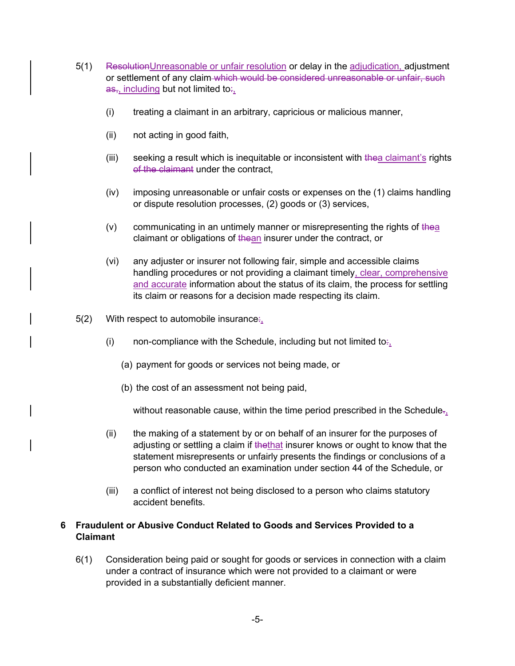- 5(1) ResolutionUnreasonable or unfair resolution or delay in the adjudication, adjustment or settlement of any claim which would be considered unreasonable or unfair, such  $a<sub>5</sub>$ , including but not limited to:
	- (i) treating a claimant in an arbitrary, capricious or malicious manner,
	- (ii) not acting in good faith,
	- (iii) seeking a result which is inequitable or inconsistent with thea claimant's rights of the claimant under the contract.
	- (iv) imposing unreasonable or unfair costs or expenses on the (1) claims handling or dispute resolution processes, (2) goods or (3) services,
	- $(v)$  communicating in an untimely manner or misrepresenting the rights of thea claimant or obligations of thean insurer under the contract, or
	- (vi) any adjuster or insurer not following fair, simple and accessible claims handling procedures or not providing a claimant timely, clear, comprehensive and accurate information about the status of its claim, the process for settling its claim or reasons for a decision made respecting its claim.
- $5(2)$  With respect to automobile insurance:
	- (i) non-compliance with the Schedule, including but not limited to: $\frac{1}{2}$ 
		- (a) payment for goods or services not being made, or
		- (b) the cost of an assessment not being paid,

without reasonable cause, within the time period prescribed in the Schedule $\tau_{i}$ 

- (ii) the making of a statement by or on behalf of an insurer for the purposes of adjusting or settling a claim if thethat insurer knows or ought to know that the statement misrepresents or unfairly presents the findings or conclusions of a person who conducted an examination under section 44 of the Schedule, or
- (iii) a conflict of interest not being disclosed to a person who claims statutory accident benefits.

## **6 Fraudulent or Abusive Conduct Related to Goods and Services Provided to a Claimant**

6(1) Consideration being paid or sought for goods or services in connection with a claim under a contract of insurance which were not provided to a claimant or were provided in a substantially deficient manner.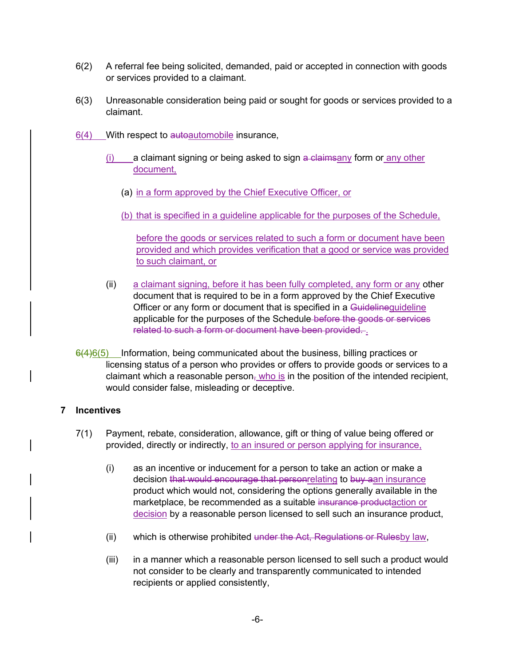- 6(2) A referral fee being solicited, demanded, paid or accepted in connection with goods or services provided to a claimant.
- 6(3) Unreasonable consideration being paid or sought for goods or services provided to a claimant.
- $6(4)$  With respect to autoble insurance,
	- $(i)$  a claimant signing or being asked to sign a claimsany form or any other document,
		- (a) in a form approved by the Chief Executive Officer, or
		- (b) that is specified in a guideline applicable for the purposes of the Schedule,

before the goods or services related to such a form or document have been provided and which provides verification that a good or service was provided to such claimant, or

- related to such a form or document have been provided. <u>.</u> (ii) a claimant signing, before it has been fully completed, any form or any other document that is required to be in a form approved by the Chief Executive Officer or any form or document that is specified in a Guidelineguideline applicable for the purposes of the Schedule-before the goods or services
- $6(4)6(5)$  Information, being communicated about the business, billing practices or licensing status of a person who provides or offers to provide goods or services to a claimant which a reasonable person, who is in the position of the intended recipient, would consider false, misleading or deceptive.

## **7 Incentives**

- 7(1) Payment, rebate, consideration, allowance, gift or thing of value being offered or provided, directly or indirectly, to an insured or person applying for insurance,
	- (i) as an incentive or inducement for a person to take an action or make a decision that would encourage that personrelating to buy aan insurance product which would not, considering the options generally available in the marketplace, be recommended as a suitable insurance productaction or decision by a reasonable person licensed to sell such an insurance product,
	- (ii) which is otherwise prohibited under the Act, Regulations or Rulesby law,
	- (iii) in a manner which a reasonable person licensed to sell such a product would not consider to be clearly and transparently communicated to intended recipients or applied consistently,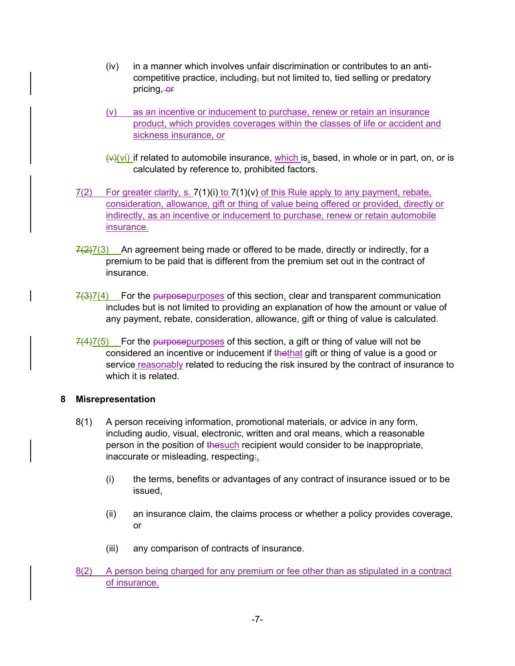- (iv) in a manner which involves unfair discrimination or contributes to an anticompetitive practice, including, but not limited to, tied selling or predatory pricing, or
- (v) as an incentive or inducement to purchase, renew or retain an insurance product, which provides coverages within the classes of life or accident and sickness insurance, or
- $(v)(vi)$  if related to automobile insurance, which is, based, in whole or in part, on, or is calculated by reference to, prohibited factors.
- $7(2)$  For greater clarity, s.  $7(1)(i)$  to  $7(1)(v)$  of this Rule apply to any payment, rebate, consideration, allowance, gift or thing of value being offered or provided, directly or indirectly, as an incentive or inducement to purchase, renew or retain automobile insurance.
- $7(2)7(3)$  An agreement being made or offered to be made, directly or indirectly, for a premium to be paid that is different from the premium set out in the contract of insurance.
- $7(3)7(4)$  For the purposepurposes of this section, clear and transparent communication includes but is not limited to providing an explanation of how the amount or value of any payment, rebate, consideration, allowance, gift or thing of value is calculated.
- $7(4)7(5)$  For the purposepurposes of this section, a gift or thing of value will not be considered an incentive or inducement if thethat gift or thing of value is a good or service reasonably related to reducing the risk insured by the contract of insurance to which it is related.

## **8 Misrepresentation**

- 8(1) A person receiving information, promotional materials, or advice in any form, including audio, visual, electronic, written and oral means, which a reasonable person in the position of thesuch recipient would consider to be inappropriate, inaccurate or misleading, respecting:,
	- (i) the terms, benefits or advantages of any contract of insurance issued or to be issued,
	- (ii) an insurance claim, the claims process or whether a policy provides coverage, or
	- (iii) any comparison of contracts of insurance.
- 8(2) A person being charged for any premium or fee other than as stipulated in a contract of insurance.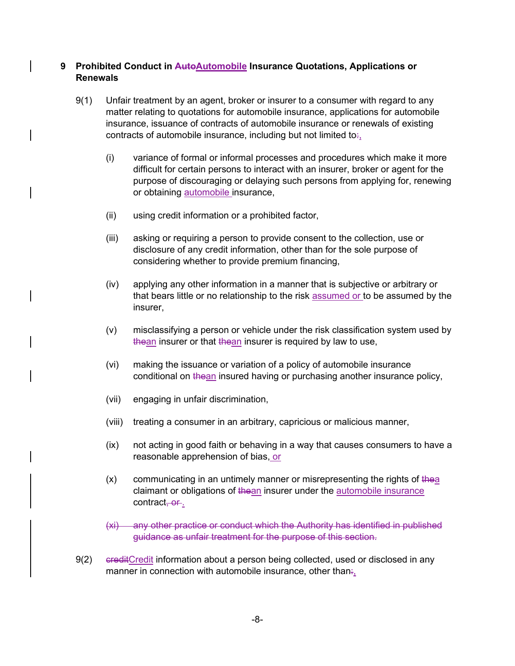## **9 Prohibited Conduct in AutoAutomobile Insurance Quotations, Applications or Renewals**

- 9(1) Unfair treatment by an agent, broker or insurer to a consumer with regard to any matter relating to quotations for automobile insurance, applications for automobile insurance, issuance of contracts of automobile insurance or renewals of existing contracts of automobile insurance, including but not limited to:,
	- (i) variance of formal or informal processes and procedures which make it more difficult for certain persons to interact with an insurer, broker or agent for the purpose of discouraging or delaying such persons from applying for, renewing or obtaining automobile insurance,
	- (ii) using credit information or a prohibited factor,
	- (iii) asking or requiring a person to provide consent to the collection, use or disclosure of any credit information, other than for the sole purpose of considering whether to provide premium financing,
	- (iv) applying any other information in a manner that is subjective or arbitrary or that bears little or no relationship to the risk assumed or to be assumed by the insurer,
	- (v) misclassifying a person or vehicle under the risk classification system used by thean insurer or that thean insurer is required by law to use,
	- (vi) making the issuance or variation of a policy of automobile insurance conditional on thean insured having or purchasing another insurance policy,
	- (vii) engaging in unfair discrimination,
	- (viii) treating a consumer in an arbitrary, capricious or malicious manner,
	- (ix) not acting in good faith or behaving in a way that causes consumers to have a reasonable apprehension of bias, or
	- $(x)$  communicating in an untimely manner or misrepresenting the rights of the a claimant or obligations of thean insurer under the automobile insurance contract, or.
	- (xi) any other practice or conduct which the Authority has identified in published guidance as unfair treatment for the purpose of this section.
- 9(2) ereditCredit information about a person being collected, used or disclosed in any manner in connection with automobile insurance, other than.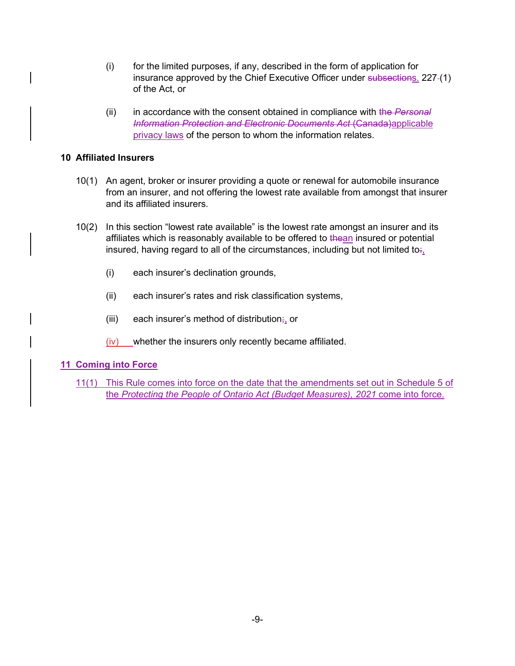- (i) for the limited purposes, if any, described in the form of application for insurance approved by the Chief Executive Officer under subsections. 227-(1) of the Act, or
- (ii) in accordance with the consent obtained in compliance with the *Personal Information Protection and Electronic Documents Act* (Canada)applicable privacy laws of the person to whom the information relates.

#### **10 Affiliated Insurers**

- 10(1) An agent, broker or insurer providing a quote or renewal for automobile insurance from an insurer, and not offering the lowest rate available from amongst that insurer and its affiliated insurers.
- 10(2) In this section "lowest rate available" is the lowest rate amongst an insurer and its affiliates which is reasonably available to be offered to thean insured or potential insured, having regard to all of the circumstances, including but not limited to:,
	- (i) each insurer's declination grounds,
	- (ii) each insurer's rates and risk classification systems,
	- (iii) each insurer's method of distribution $\frac{1}{r_1}$  or
	- (iv) whether the insurers only recently became affiliated.

## **11 Coming into Force**

11(1) This Rule comes into force on the date that the amendments set out in Schedule 5 of the *Protecting the People of Ontario Act (Budget Measures), 2021* come into force.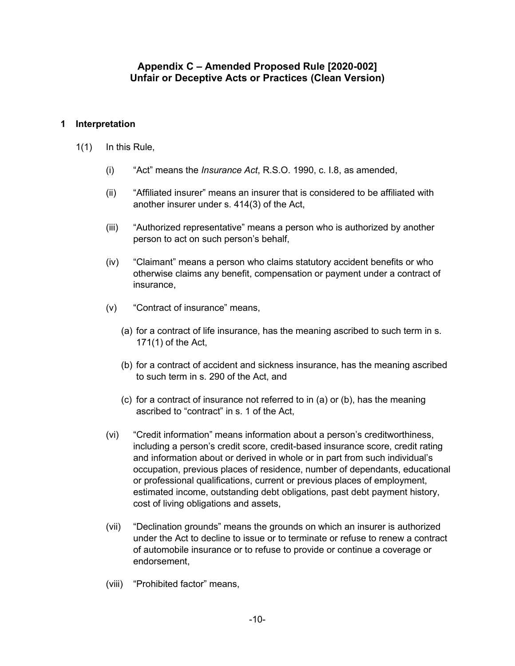# **Appendix C – Amended Proposed Rule [2020-002] Unfair or Deceptive Acts or Practices (Clean Version)**

## **1 Interpretation**

- 1(1) In this Rule,
	- (i) "Act" means the *Insurance Act*, R.S.O. 1990, c. I.8, as amended,
	- (ii) "Affiliated insurer" means an insurer that is considered to be affiliated with another insurer under s. 414(3) of the Act,
	- (iii) "Authorized representative" means a person who is authorized by another person to act on such person's behalf,
	- (iv) "Claimant" means a person who claims statutory accident benefits or who otherwise claims any benefit, compensation or payment under a contract of insurance,
	- (v) "Contract of insurance" means,
		- (a) for a contract of life insurance, has the meaning ascribed to such term in s. 171(1) of the Act,
		- (b) for a contract of accident and sickness insurance, has the meaning ascribed to such term in s. 290 of the Act, and
		- (c) for a contract of insurance not referred to in (a) or (b), has the meaning ascribed to "contract" in s. 1 of the Act,
	- (vi) "Credit information" means information about a person's creditworthiness, including a person's credit score, credit-based insurance score, credit rating and information about or derived in whole or in part from such individual's occupation, previous places of residence, number of dependants, educational or professional qualifications, current or previous places of employment, estimated income, outstanding debt obligations, past debt payment history, cost of living obligations and assets,
	- (vii) "Declination grounds" means the grounds on which an insurer is authorized under the Act to decline to issue or to terminate or refuse to renew a contract of automobile insurance or to refuse to provide or continue a coverage or endorsement,
	- (viii) "Prohibited factor" means,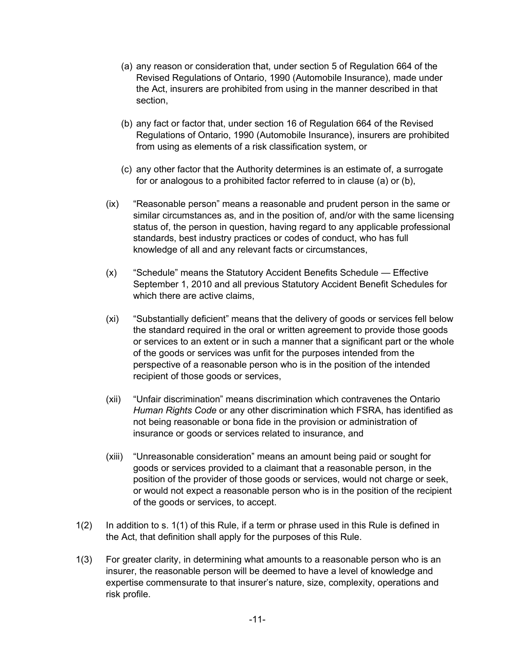- (a) any reason or consideration that, under section 5 of Regulation 664 of the Revised Regulations of Ontario, 1990 (Automobile Insurance), made under the Act, insurers are prohibited from using in the manner described in that section,
- (b) any fact or factor that, under section 16 of Regulation 664 of the Revised Regulations of Ontario, 1990 (Automobile Insurance), insurers are prohibited from using as elements of a risk classification system, or
- (c) any other factor that the Authority determines is an estimate of, a surrogate for or analogous to a prohibited factor referred to in clause (a) or (b),
- (ix) "Reasonable person" means a reasonable and prudent person in the same or similar circumstances as, and in the position of, and/or with the same licensing status of, the person in question, having regard to any applicable professional standards, best industry practices or codes of conduct, who has full knowledge of all and any relevant facts or circumstances,
- (x) "Schedule" means the Statutory Accident Benefits Schedule Effective September 1, 2010 and all previous Statutory Accident Benefit Schedules for which there are active claims.
- (xi) "Substantially deficient" means that the delivery of goods or services fell below the standard required in the oral or written agreement to provide those goods or services to an extent or in such a manner that a significant part or the whole of the goods or services was unfit for the purposes intended from the perspective of a reasonable person who is in the position of the intended recipient of those goods or services,
- (xii) "Unfair discrimination" means discrimination which contravenes the Ontario *Human Rights Code* or any other discrimination which FSRA, has identified as not being reasonable or bona fide in the provision or administration of insurance or goods or services related to insurance, and
- (xiii) "Unreasonable consideration" means an amount being paid or sought for goods or services provided to a claimant that a reasonable person, in the position of the provider of those goods or services, would not charge or seek, or would not expect a reasonable person who is in the position of the recipient of the goods or services, to accept.
- 1(2) In addition to s. 1(1) of this Rule, if a term or phrase used in this Rule is defined in the Act, that definition shall apply for the purposes of this Rule.
- 1(3) For greater clarity, in determining what amounts to a reasonable person who is an insurer, the reasonable person will be deemed to have a level of knowledge and expertise commensurate to that insurer's nature, size, complexity, operations and risk profile.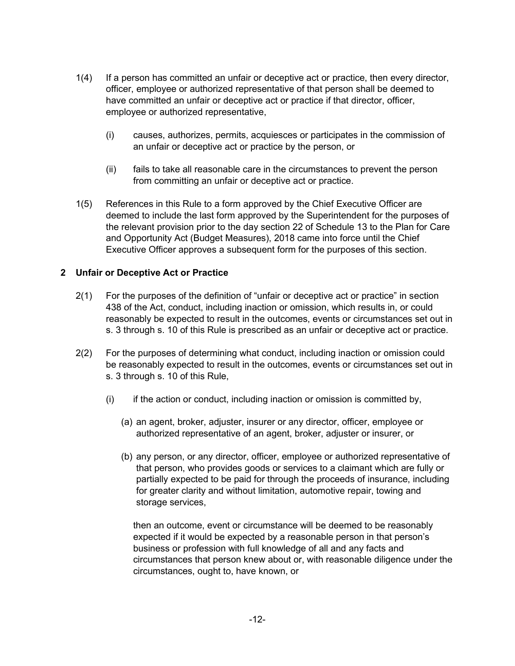- 1(4) If a person has committed an unfair or deceptive act or practice, then every director, officer, employee or authorized representative of that person shall be deemed to have committed an unfair or deceptive act or practice if that director, officer, employee or authorized representative,
	- (i) causes, authorizes, permits, acquiesces or participates in the commission of an unfair or deceptive act or practice by the person, or
	- (ii) fails to take all reasonable care in the circumstances to prevent the person from committing an unfair or deceptive act or practice.
- 1(5) References in this Rule to a form approved by the Chief Executive Officer are deemed to include the last form approved by the Superintendent for the purposes of the relevant provision prior to the day section 22 of Schedule 13 to the Plan for Care and Opportunity Act (Budget Measures), 2018 came into force until the Chief Executive Officer approves a subsequent form for the purposes of this section.

## **2 Unfair or Deceptive Act or Practice**

- 2(1) For the purposes of the definition of "unfair or deceptive act or practice" in section 438 of the Act, conduct, including inaction or omission, which results in, or could reasonably be expected to result in the outcomes, events or circumstances set out in s. 3 through s. 10 of this Rule is prescribed as an unfair or deceptive act or practice.
- 2(2) For the purposes of determining what conduct, including inaction or omission could be reasonably expected to result in the outcomes, events or circumstances set out in s. 3 through s. 10 of this Rule,
	- $(i)$  if the action or conduct, including inaction or omission is committed by,
		- (a) an agent, broker, adjuster, insurer or any director, officer, employee or authorized representative of an agent, broker, adjuster or insurer, or
		- (b) any person, or any director, officer, employee or authorized representative of that person, who provides goods or services to a claimant which are fully or partially expected to be paid for through the proceeds of insurance, including for greater clarity and without limitation, automotive repair, towing and storage services,

then an outcome, event or circumstance will be deemed to be reasonably expected if it would be expected by a reasonable person in that person's business or profession with full knowledge of all and any facts and circumstances that person knew about or, with reasonable diligence under the circumstances, ought to, have known, or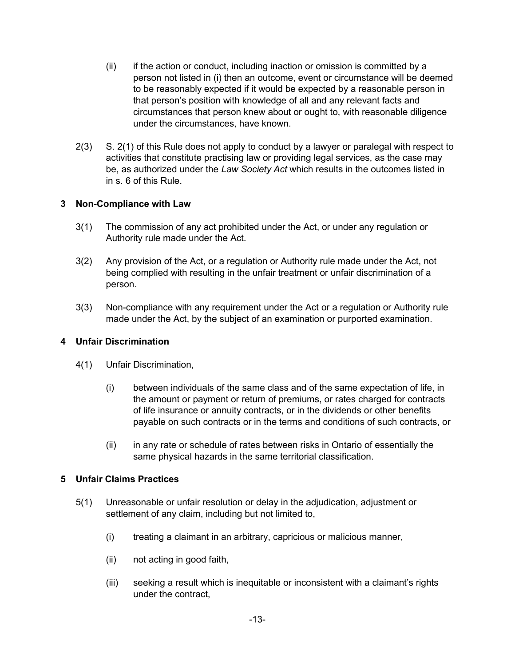- (ii) if the action or conduct, including inaction or omission is committed by a person not listed in (i) then an outcome, event or circumstance will be deemed to be reasonably expected if it would be expected by a reasonable person in that person's position with knowledge of all and any relevant facts and circumstances that person knew about or ought to, with reasonable diligence under the circumstances, have known.
- 2(3) S. 2(1) of this Rule does not apply to conduct by a lawyer or paralegal with respect to activities that constitute practising law or providing legal services, as the case may be, as authorized under the *Law Society Act* which results in the outcomes listed in in s. 6 of this Rule.

## **3 Non-Compliance with Law**

- 3(1) The commission of any act prohibited under the Act, or under any regulation or Authority rule made under the Act.
- 3(2) Any provision of the Act, or a regulation or Authority rule made under the Act, not being complied with resulting in the unfair treatment or unfair discrimination of a person.
- 3(3) Non-compliance with any requirement under the Act or a regulation or Authority rule made under the Act, by the subject of an examination or purported examination.

## **4 Unfair Discrimination**

- 4(1) Unfair Discrimination,
	- (i) between individuals of the same class and of the same expectation of life, in the amount or payment or return of premiums, or rates charged for contracts of life insurance or annuity contracts, or in the dividends or other benefits payable on such contracts or in the terms and conditions of such contracts, or
	- (ii) in any rate or schedule of rates between risks in Ontario of essentially the same physical hazards in the same territorial classification.

## **5 Unfair Claims Practices**

- 5(1) Unreasonable or unfair resolution or delay in the adjudication, adjustment or settlement of any claim, including but not limited to,
	- (i) treating a claimant in an arbitrary, capricious or malicious manner,
	- (ii) not acting in good faith,
	- (iii) seeking a result which is inequitable or inconsistent with a claimant's rights under the contract,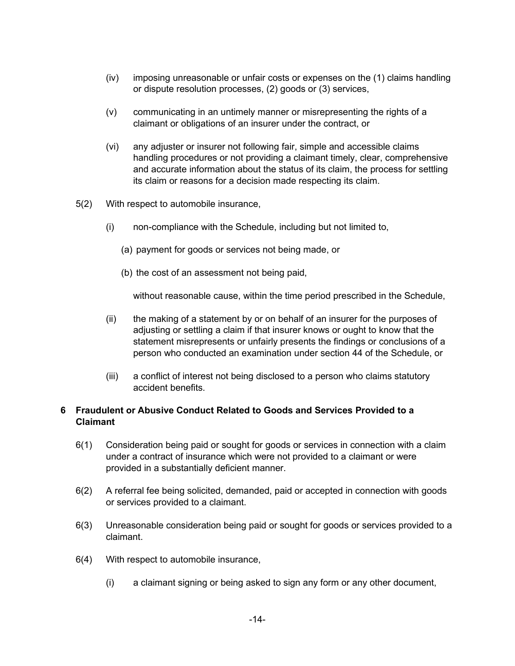- (iv) imposing unreasonable or unfair costs or expenses on the (1) claims handling or dispute resolution processes, (2) goods or (3) services,
- (v) communicating in an untimely manner or misrepresenting the rights of a claimant or obligations of an insurer under the contract, or
- (vi) any adjuster or insurer not following fair, simple and accessible claims handling procedures or not providing a claimant timely, clear, comprehensive and accurate information about the status of its claim, the process for settling its claim or reasons for a decision made respecting its claim.
- 5(2) With respect to automobile insurance,
	- (i) non-compliance with the Schedule, including but not limited to,
		- (a) payment for goods or services not being made, or
		- (b) the cost of an assessment not being paid,

without reasonable cause, within the time period prescribed in the Schedule,

- (ii) the making of a statement by or on behalf of an insurer for the purposes of adjusting or settling a claim if that insurer knows or ought to know that the statement misrepresents or unfairly presents the findings or conclusions of a person who conducted an examination under section 44 of the Schedule, or
- (iii) a conflict of interest not being disclosed to a person who claims statutory accident benefits.

## **6 Fraudulent or Abusive Conduct Related to Goods and Services Provided to a Claimant**

- 6(1) Consideration being paid or sought for goods or services in connection with a claim under a contract of insurance which were not provided to a claimant or were provided in a substantially deficient manner.
- 6(2) A referral fee being solicited, demanded, paid or accepted in connection with goods or services provided to a claimant.
- 6(3) Unreasonable consideration being paid or sought for goods or services provided to a claimant.
- 6(4) With respect to automobile insurance,
	- (i) a claimant signing or being asked to sign any form or any other document,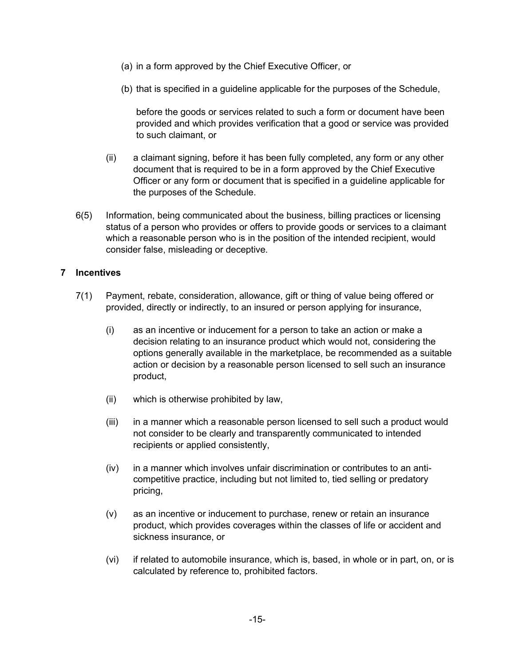- (a) in a form approved by the Chief Executive Officer, or
- (b) that is specified in a guideline applicable for the purposes of the Schedule,

before the goods or services related to such a form or document have been provided and which provides verification that a good or service was provided to such claimant, or

- (ii) a claimant signing, before it has been fully completed, any form or any other document that is required to be in a form approved by the Chief Executive Officer or any form or document that is specified in a guideline applicable for the purposes of the Schedule.
- 6(5) Information, being communicated about the business, billing practices or licensing status of a person who provides or offers to provide goods or services to a claimant which a reasonable person who is in the position of the intended recipient, would consider false, misleading or deceptive.

## **7 Incentives**

- 7(1) Payment, rebate, consideration, allowance, gift or thing of value being offered or provided, directly or indirectly, to an insured or person applying for insurance,
	- (i) as an incentive or inducement for a person to take an action or make a decision relating to an insurance product which would not, considering the options generally available in the marketplace, be recommended as a suitable action or decision by a reasonable person licensed to sell such an insurance product,
	- (ii) which is otherwise prohibited by law,
	- (iii) in a manner which a reasonable person licensed to sell such a product would not consider to be clearly and transparently communicated to intended recipients or applied consistently,
	- (iv) in a manner which involves unfair discrimination or contributes to an anticompetitive practice, including but not limited to, tied selling or predatory pricing,
	- (v) as an incentive or inducement to purchase, renew or retain an insurance product, which provides coverages within the classes of life or accident and sickness insurance, or
	- (vi) if related to automobile insurance, which is, based, in whole or in part, on, or is calculated by reference to, prohibited factors.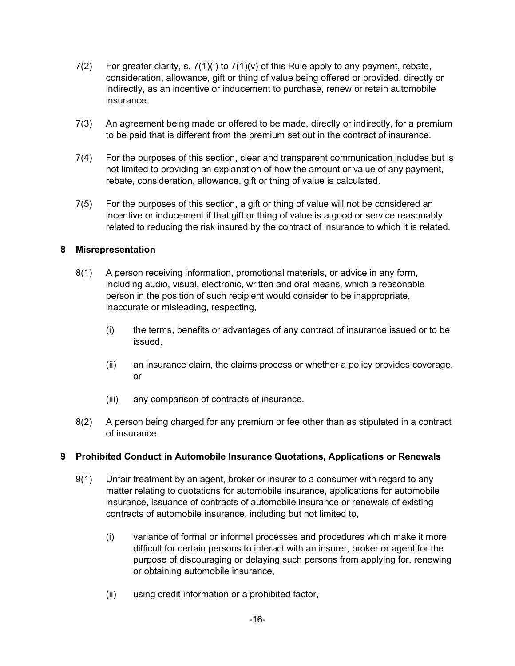- 7(2) For greater clarity, s.  $7(1)(i)$  to  $7(1)(v)$  of this Rule apply to any payment, rebate, consideration, allowance, gift or thing of value being offered or provided, directly or indirectly, as an incentive or inducement to purchase, renew or retain automobile insurance.
- 7(3) An agreement being made or offered to be made, directly or indirectly, for a premium to be paid that is different from the premium set out in the contract of insurance.
- 7(4) For the purposes of this section, clear and transparent communication includes but is not limited to providing an explanation of how the amount or value of any payment, rebate, consideration, allowance, gift or thing of value is calculated.
- 7(5) For the purposes of this section, a gift or thing of value will not be considered an incentive or inducement if that gift or thing of value is a good or service reasonably related to reducing the risk insured by the contract of insurance to which it is related.

## **8 Misrepresentation**

- 8(1) A person receiving information, promotional materials, or advice in any form, including audio, visual, electronic, written and oral means, which a reasonable person in the position of such recipient would consider to be inappropriate, inaccurate or misleading, respecting,
	- (i) the terms, benefits or advantages of any contract of insurance issued or to be issued,
	- (ii) an insurance claim, the claims process or whether a policy provides coverage, or
	- (iii) any comparison of contracts of insurance.
- 8(2) A person being charged for any premium or fee other than as stipulated in a contract of insurance.

## **9 Prohibited Conduct in Automobile Insurance Quotations, Applications or Renewals**

- 9(1) Unfair treatment by an agent, broker or insurer to a consumer with regard to any matter relating to quotations for automobile insurance, applications for automobile insurance, issuance of contracts of automobile insurance or renewals of existing contracts of automobile insurance, including but not limited to,
	- (i) variance of formal or informal processes and procedures which make it more difficult for certain persons to interact with an insurer, broker or agent for the purpose of discouraging or delaying such persons from applying for, renewing or obtaining automobile insurance,
	- (ii) using credit information or a prohibited factor,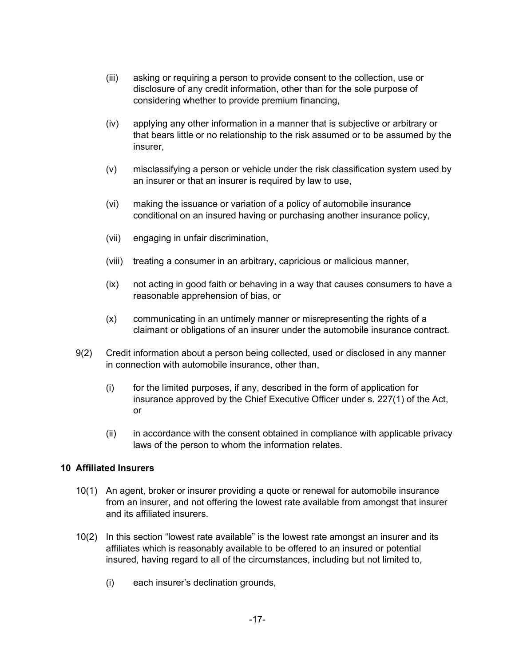- (iii) asking or requiring a person to provide consent to the collection, use or disclosure of any credit information, other than for the sole purpose of considering whether to provide premium financing,
- (iv) applying any other information in a manner that is subjective or arbitrary or that bears little or no relationship to the risk assumed or to be assumed by the insurer,
- (v) misclassifying a person or vehicle under the risk classification system used by an insurer or that an insurer is required by law to use,
- (vi) making the issuance or variation of a policy of automobile insurance conditional on an insured having or purchasing another insurance policy,
- (vii) engaging in unfair discrimination,
- (viii) treating a consumer in an arbitrary, capricious or malicious manner,
- (ix) not acting in good faith or behaving in a way that causes consumers to have a reasonable apprehension of bias, or
- (x) communicating in an untimely manner or misrepresenting the rights of a claimant or obligations of an insurer under the automobile insurance contract.
- 9(2) Credit information about a person being collected, used or disclosed in any manner in connection with automobile insurance, other than,
	- (i) for the limited purposes, if any, described in the form of application for insurance approved by the Chief Executive Officer under s. 227(1) of the Act, or
	- (ii) in accordance with the consent obtained in compliance with applicable privacy laws of the person to whom the information relates.

## **10 Affiliated Insurers**

- 10(1) An agent, broker or insurer providing a quote or renewal for automobile insurance from an insurer, and not offering the lowest rate available from amongst that insurer and its affiliated insurers.
- 10(2) In this section "lowest rate available" is the lowest rate amongst an insurer and its affiliates which is reasonably available to be offered to an insured or potential insured, having regard to all of the circumstances, including but not limited to,
	- (i) each insurer's declination grounds,